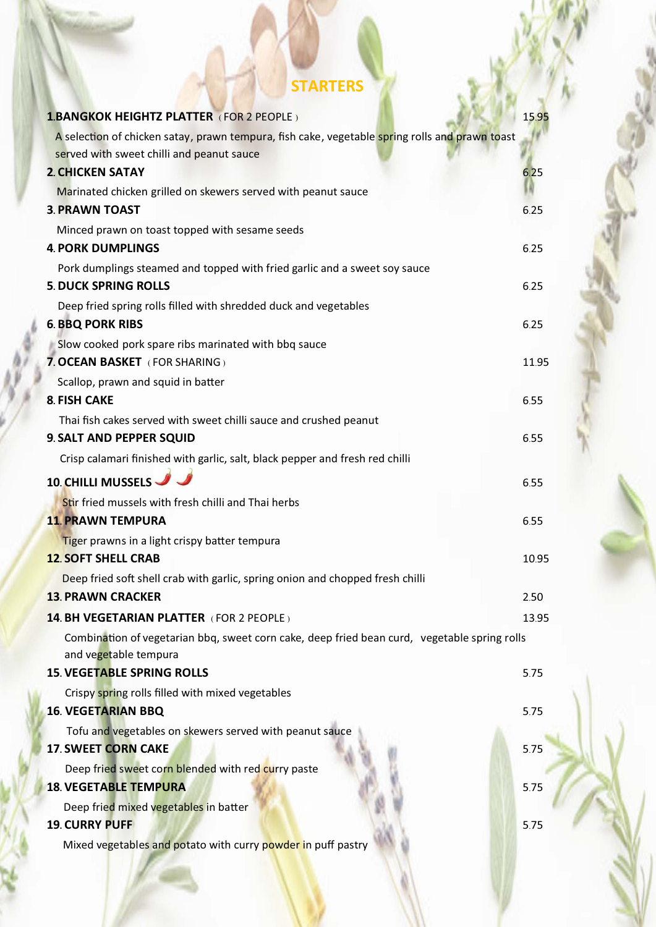# **STARTERS**

| <b>1.BANGKOK HEIGHTZ PLATTER (FOR 2 PEOPLE)</b>                                                                                             | 15.95 |
|---------------------------------------------------------------------------------------------------------------------------------------------|-------|
| A selection of chicken satay, prawn tempura, fish cake, vegetable spring rolls and prawn toast<br>served with sweet chilli and peanut sauce |       |
| <b>2. CHICKEN SATAY</b>                                                                                                                     | 6.25  |
| Marinated chicken grilled on skewers served with peanut sauce                                                                               |       |
| <b>3. PRAWN TOAST</b>                                                                                                                       | 6.25  |
| Minced prawn on toast topped with sesame seeds                                                                                              |       |
| <b>4. PORK DUMPLINGS</b>                                                                                                                    | 6.25  |
| Pork dumplings steamed and topped with fried garlic and a sweet soy sauce                                                                   |       |
| <b>5. DUCK SPRING ROLLS</b>                                                                                                                 | 6.25  |
| Deep fried spring rolls filled with shredded duck and vegetables                                                                            |       |
| <b>6. BBQ PORK RIBS</b>                                                                                                                     | 6.25  |
| Slow cooked pork spare ribs marinated with bbq sauce                                                                                        |       |
| 7. OCEAN BASKET (FOR SHARING)                                                                                                               | 11.95 |
| Scallop, prawn and squid in batter                                                                                                          |       |
| <b>8. FISH CAKE</b>                                                                                                                         | 6.55  |
| Thai fish cakes served with sweet chilli sauce and crushed peanut                                                                           |       |
| 9. SALT AND PEPPER SQUID                                                                                                                    | 6.55  |
| Crisp calamari finished with garlic, salt, black pepper and fresh red chilli                                                                |       |
| 10. CHILLI MUSSELS                                                                                                                          | 6.55  |
| Stir fried mussels with fresh chilli and Thai herbs                                                                                         |       |
| <b>11. PRAWN TEMPURA</b>                                                                                                                    | 6.55  |
| Tiger prawns in a light crispy batter tempura                                                                                               |       |
| <b>12. SOFT SHELL CRAB</b>                                                                                                                  | 10.95 |
| Deep fried soft shell crab with garlic, spring onion and chopped fresh chilli                                                               |       |
| <b>13. PRAWN CRACKER</b>                                                                                                                    | 2.50  |
| <b>14. BH VEGETARIAN PLATTER (FOR 2 PEOPLE)</b>                                                                                             | 13.95 |
| Combination of vegetarian bbq, sweet corn cake, deep fried bean curd, vegetable spring rolls<br>and vegetable tempura                       |       |
| <b>15. VEGETABLE SPRING ROLLS</b>                                                                                                           | 5.75  |
| Crispy spring rolls filled with mixed vegetables                                                                                            |       |
| <b>16. VEGETARIAN BBQ</b>                                                                                                                   | 5.75  |
| Tofu and vegetables on skewers served with peanut sauce                                                                                     |       |
| <b>17. SWEET CORN CAKE</b>                                                                                                                  | 5.75  |
| Deep fried sweet corn blended with red curry paste                                                                                          |       |
| <b>18. VEGETABLE TEMPURA</b>                                                                                                                | 5.75  |
| Deep fried mixed vegetables in batter                                                                                                       |       |
| <b>19. CURRY PUFF</b>                                                                                                                       | 5.75  |
| Mixed vegetables and potato with curry powder in puff pastry                                                                                |       |
|                                                                                                                                             |       |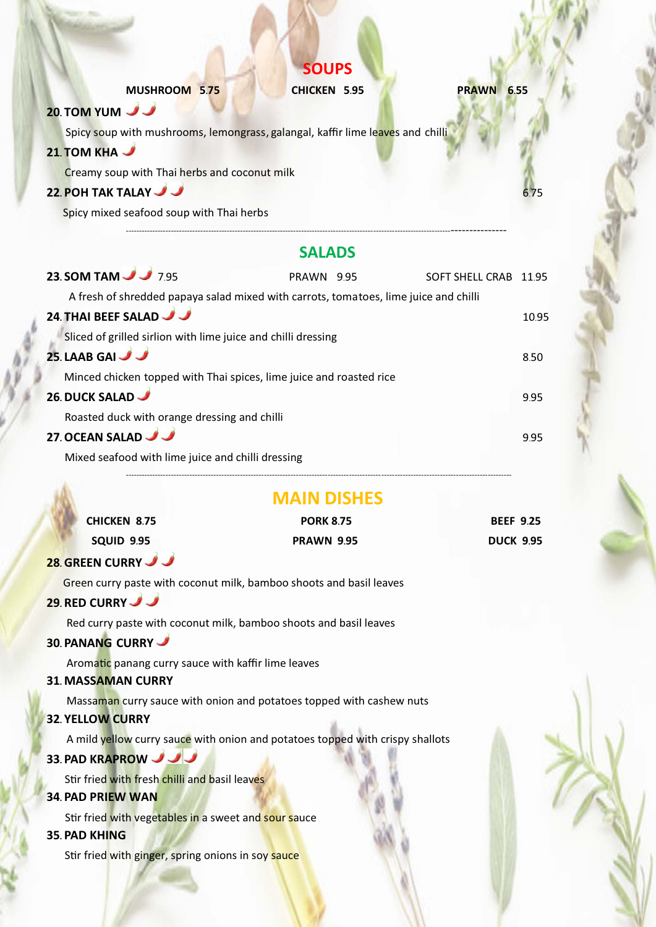|                                                                                | <b>SOUPS</b>        |                   |
|--------------------------------------------------------------------------------|---------------------|-------------------|
| MUSHROOM 5.75                                                                  | <b>CHICKEN 5.95</b> | <b>PRAWN 6.55</b> |
| 20. TOM YUM                                                                    |                     |                   |
| Spicy soup with mushrooms, lemongrass, galangal, kaffir lime leaves and chilli |                     |                   |
| 21. TOM KHA                                                                    |                     |                   |
| Creamy soup with Thai herbs and coconut milk                                   |                     |                   |
| 22. POH TAK TALAY                                                              |                     | 6.75              |
| Spicy mixed seafood soup with Thai herbs                                       |                     |                   |
|                                                                                |                     |                   |
|                                                                                |                     |                   |

# **SALADS**

| 23. SOM TAM 3 7.95                                                                    | PRAWN 9.95 | SOFT SHELL CRAB 11.95 |      |
|---------------------------------------------------------------------------------------|------------|-----------------------|------|
| A fresh of shredded papaya salad mixed with carrots, tomatoes, lime juice and chilli  |            |                       |      |
| 24. THAI BEEF SALAD                                                                   |            |                       | 1095 |
| Sliced of grilled sirlion with lime juice and chilli dressing<br>25. LAAB GAI         |            |                       | 8.50 |
| Minced chicken topped with Thai spices, lime juice and roasted rice<br>26. DUCK SALAD |            |                       | 995  |
| Roasted duck with orange dressing and chilli                                          |            |                       |      |
| 27. OCEAN SALAD                                                                       |            |                       | 995  |
| Mixed seafood with lime juice and chilli dressing                                     |            |                       |      |

# **MAIN DISHES**

| <b>CHICKEN 8.75</b> | <b>PORK 8.75</b>  | <b>BEEF 9.25</b> |
|---------------------|-------------------|------------------|
| <b>SQUID 9.95</b>   | <b>PRAWN 9.95</b> | <b>DUCK 9.95</b> |

### **28. GREEN CURRY**

Green curry paste with coconut milk, bamboo shoots and basil leaves

### **29. RED CURRY**

Red curry paste with coconut milk, bamboo shoots and basil leaves

## **30. PANANG CURRY**

Aromatic panang curry sauce with kaffir lime leaves

#### **31. MASSAMAN CURRY**

Massaman curry sauce with onion and potatoes topped with cashew nuts

## **32. YELLOW CURRY**

A mild yellow curry sauce with onion and potatoes topped with crispy shallots

### **33. PAD KRAPROW**

Stir fried with fresh chilli and basil leaves

## **34. PAD PRIEW WAN**

Stir fried with vegetables in a sweet and sour sauce

#### **35. PAD KHING**

Stir fried with ginger, spring onions in soy sauce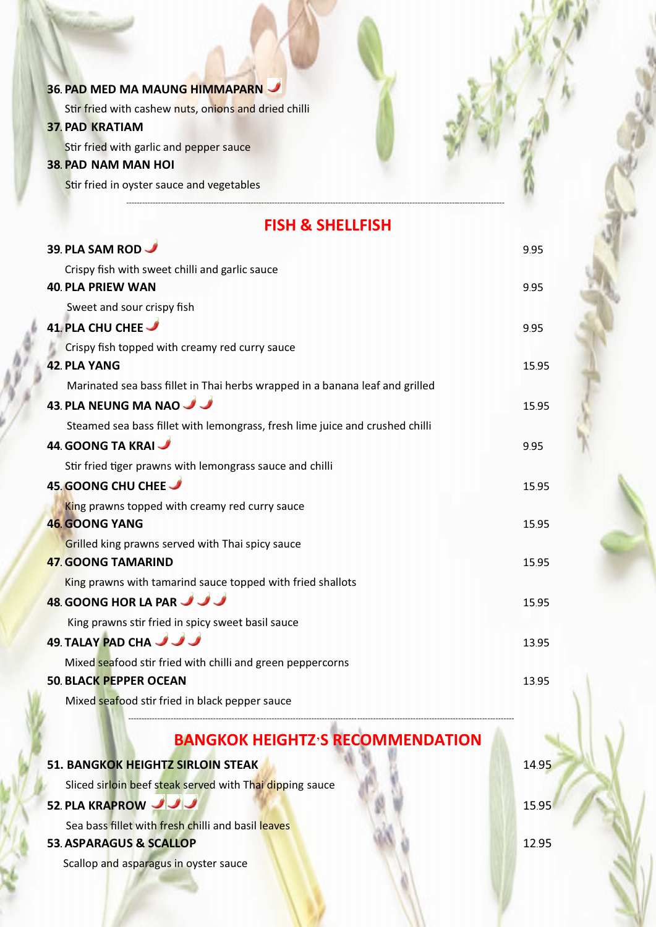# **36. PAD MED MA MAUNG HIMMAPARN** Stir fried with cashew nuts, onions and dried chilli **37. PAD KRATIAM** Stir fried with garlic and pepper sauce **38. PAD NAM MAN HOI** Stir fried in oyster sauce and vegetables ----------------------------------------------------------------------------------------------------------------------------------------------- **FISH & SHELLFISH 39. PLA SAM ROD** 9.95 Crispy fish with sweet chilli and garlic sauce **40. PLA PRIEW WAN** 9.95 Sweet and sour crispy fish **41. PLA CHU CHEE** 9.95 Crispy fish topped with creamy red curry sauce **42. PLA YANG** 15.95 Marinated sea bass fillet in Thai herbs wrapped in a banana leaf and grilled **43 PLA NEUNG MA NAO <del>1988</del> PLANEUNG MA NAO 15.95 PLANEUNG MA NAO 15.95 PLANEUNG MA NAO 15.95 PLANEU** Steamed sea bass fillet with lemongrass, fresh lime juice and crushed chilli **44. GOONG TA KRAI** 9.95 Stir fried tiger prawns with lemongrass sauce and chilli **45. GOONG CHU CHEE** <u>15.95</u> King prawns topped with creamy red curry sauce **46. GOONG YANG** 15.95 Grilled king prawns served with Thai spicy sauce **47. GOONG TAMARIND** 15.95 King prawns with tamarind sauce topped with fried shallots **48. GOONG HOR LA PAR<sup>1</sup>** King prawns stir fried in spicy sweet basil sauce **49. TALAY PAD CHA 13.95** Mixed seafood stir fried with chilli and green peppercorns **50. BLACK PEPPER OCEAN** 13.95

Mixed seafood stir fried in black pepper sauce

# **BANGKOK HEIGHTZ'S RECOMMENDATION**

-------------------------------------------------------------------------------------------------------------------------------------------------

| <b>51. BANGKOK HEIGHTZ SIRLOIN STEAK</b>                 | 1495 |
|----------------------------------------------------------|------|
| Sliced sirloin beef steak served with Thai dipping sauce |      |
| 52. PLA KRAPROW JJJ                                      | 1595 |
| Sea bass fillet with fresh chilli and basil leaves       |      |
| <b>53. ASPARAGUS &amp; SCALLOP</b>                       | 1295 |
| Scallop and asparagus in oyster sauce                    |      |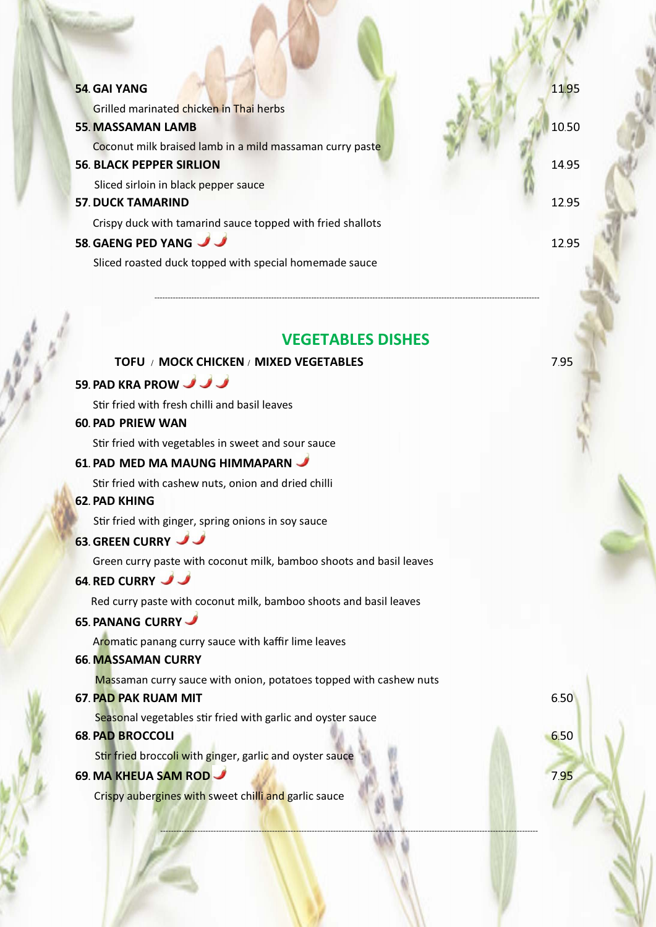| <b>54. GAI YANG</b>                                        | 11.95 |
|------------------------------------------------------------|-------|
| Grilled marinated chicken in Thai herbs                    |       |
| <b>55. MASSAMAN LAMB</b>                                   | 10.50 |
| Coconut milk braised lamb in a mild massaman curry paste   |       |
| <b>56. BLACK PEPPER SIRLION</b>                            | 14.95 |
| Sliced sirloin in black pepper sauce                       |       |
| <b>57. DUCK TAMARIND</b>                                   | 12.95 |
| Crispy duck with tamarind sauce topped with fried shallots |       |
| 58. GAENG PED YANG                                         | 1295  |
| Sliced roasted duck topped with special homemade sauce     |       |

## **VEGETABLES DISHES**

----------------------------------------------------------------------------------------------------------------------------------------------

-------------------------------------------------------------------------------------------------------------------------------------------------

### **TOFU / MOCK CHICKEN / MIXED VEGETABLES** 7.95

## **59. PAD KRA PROW**

Stir fried with fresh chilli and basil leaves

#### **60. PAD PRIEW WAN**

Stir fried with vegetables in sweet and sour sauce

#### **61. PAD MED MA MAUNG HIMMAPARN**

Stir fried with cashew nuts, onion and dried chilli

#### **62. PAD KHING**

Stir fried with ginger, spring onions in soy sauce

## **63. GREEN CURRY**

Green curry paste with coconut milk, bamboo shoots and basil leaves

#### **64. RED CURRY**

Red curry paste with coconut milk, bamboo shoots and basil leaves

#### **65. PANANG CURRY**

Aromatic panang curry sauce with kaffir lime leaves

#### **66. MASSAMAN CURRY**

Massaman curry sauce with onion, potatoes topped with cashew nuts

#### **67. PAD PAK RUAM MIT** 6.50

Seasonal vegetables stir fried with garlic and oyster sauce

#### **68. PAD BROCCOLI 6.50**

Stir fried broccoli with ginger, garlic and oyster sauce

### **69. MA KHEUA SAM ROD** 7.95

Crispy aubergines with sweet chilli and garlic sauce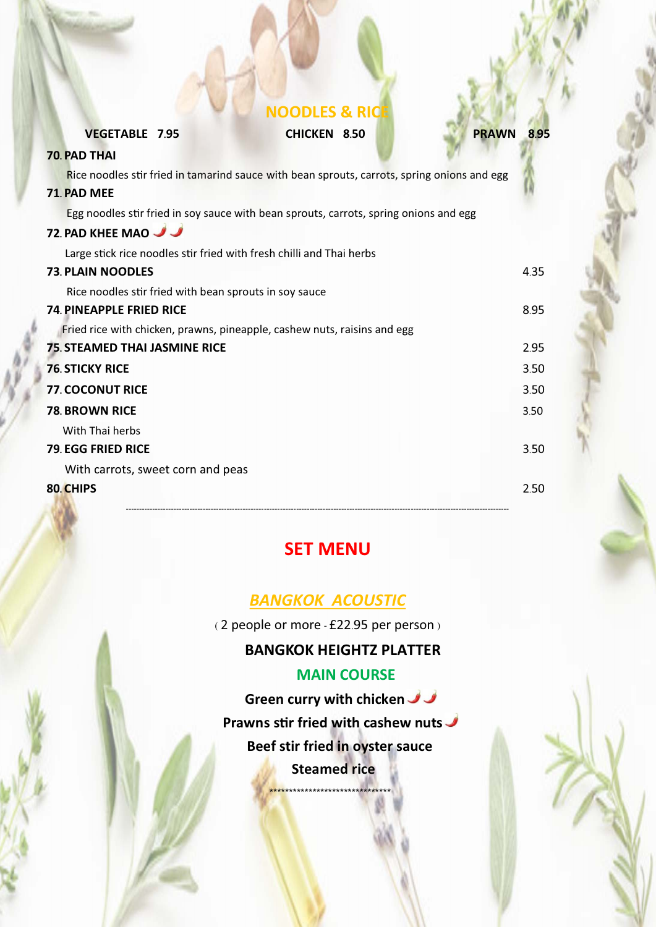# **NOODLES & RICE**

**VEGETABLE 7.95 CHICKEN 8.50 PRAWN 8.95**

| <b>70. PAD THAI</b>                                                                         |      |
|---------------------------------------------------------------------------------------------|------|
| Rice noodles stir fried in tamarind sauce with bean sprouts, carrots, spring onions and egg |      |
| 71. PAD MEE                                                                                 |      |
| Egg noodles stir fried in soy sauce with bean sprouts, carrots, spring onions and egg       |      |
| <b>72. PAD KHEE MAO</b>                                                                     |      |
| Large stick rice noodles stir fried with fresh chilli and Thai herbs                        |      |
| <b>73. PLAIN NOODLES</b>                                                                    | 435  |
| Rice noodles stir fried with bean sprouts in soy sauce                                      |      |
| <b>74. PINEAPPLE FRIED RICE</b>                                                             | 8.95 |
| Fried rice with chicken, prawns, pineapple, cashew nuts, raisins and egg                    |      |
| <b>75. STEAMED THAI JASMINE RICE</b>                                                        | 2.95 |
| <b>76. STICKY RICE</b>                                                                      | 3.50 |
| <b>77. COCONUT RICE</b>                                                                     | 3.50 |
| <b>78. BROWN RICE</b>                                                                       | 3.50 |
| With Thai herbs                                                                             |      |
| <b>79. EGG FRIED RICE</b>                                                                   | 3.50 |
| With carrots, sweet corn and peas                                                           |      |
| 80. CHIPS                                                                                   | 2.50 |

# **SET MENU**

# *BANGKOK ACOUSTIC*

( 2 people or more - £22.95 per person )

# **BANGKOK HEIGHTZ PLATTER**

# **MAIN COURSE**

**Green curry with chicken Prawns stir fried with cashew nuts Beef stir fried in oyster sauce Steamed rice** <mark>\*\*\*\*\*\*\*\*\*\*\*\*\*\*\*\*\*\*\*\*\*\*\*\*\*\*\*\*</mark>\*\*\*